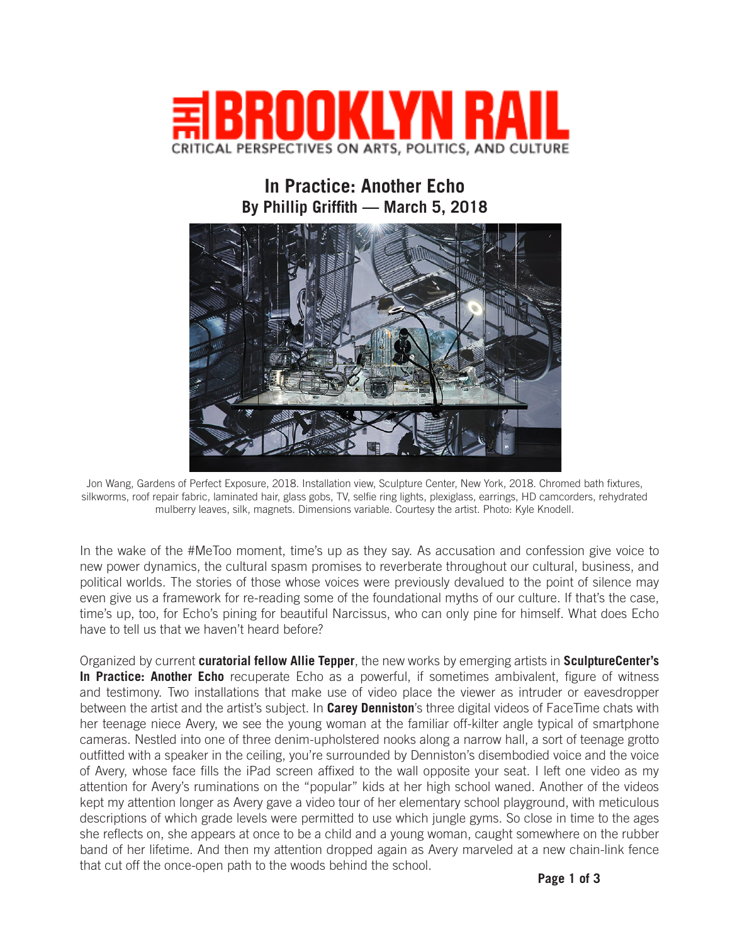

## **In Practice: Another Echo By Phillip Griffith — March 5, 2018**



Jon Wang, Gardens of Perfect Exposure, 2018. Installation view, Sculpture Center, New York, 2018. Chromed bath fixtures, silkworms, roof repair fabric, laminated hair, glass gobs, TV, selfie ring lights, plexiglass, earrings, HD camcorders, rehydrated mulberry leaves, silk, magnets. Dimensions variable. Courtesy the artist. Photo: Kyle Knodell.

In the wake of the #MeToo moment, time's up as they say. As accusation and confession give voice to new power dynamics, the cultural spasm promises to reverberate throughout our cultural, business, and political worlds. The stories of those whose voices were previously devalued to the point of silence may even give us a framework for re-reading some of the foundational myths of our culture. If that's the case, time's up, too, for Echo's pining for beautiful Narcissus, who can only pine for himself. What does Echo have to tell us that we haven't heard before?

Organized by current **curatorial fellow Allie Tepper**, the new works by emerging artists in **SculptureCenter's In Practice: Another Echo** recuperate Echo as a powerful, if sometimes ambivalent, figure of witness and testimony. Two installations that make use of video place the viewer as intruder or eavesdropper between the artist and the artist's subject. In **Carey Denniston**'s three digital videos of FaceTime chats with her teenage niece Avery, we see the young woman at the familiar off-kilter angle typical of smartphone cameras. Nestled into one of three denim-upholstered nooks along a narrow hall, a sort of teenage grotto outfitted with a speaker in the ceiling, you're surrounded by Denniston's disembodied voice and the voice of Avery, whose face fills the iPad screen affixed to the wall opposite your seat. I left one video as my attention for Avery's ruminations on the "popular" kids at her high school waned. Another of the videos kept my attention longer as Avery gave a video tour of her elementary school playground, with meticulous descriptions of which grade levels were permitted to use which jungle gyms. So close in time to the ages she reflects on, she appears at once to be a child and a young woman, caught somewhere on the rubber band of her lifetime. And then my attention dropped again as Avery marveled at a new chain-link fence that cut off the once-open path to the woods behind the school.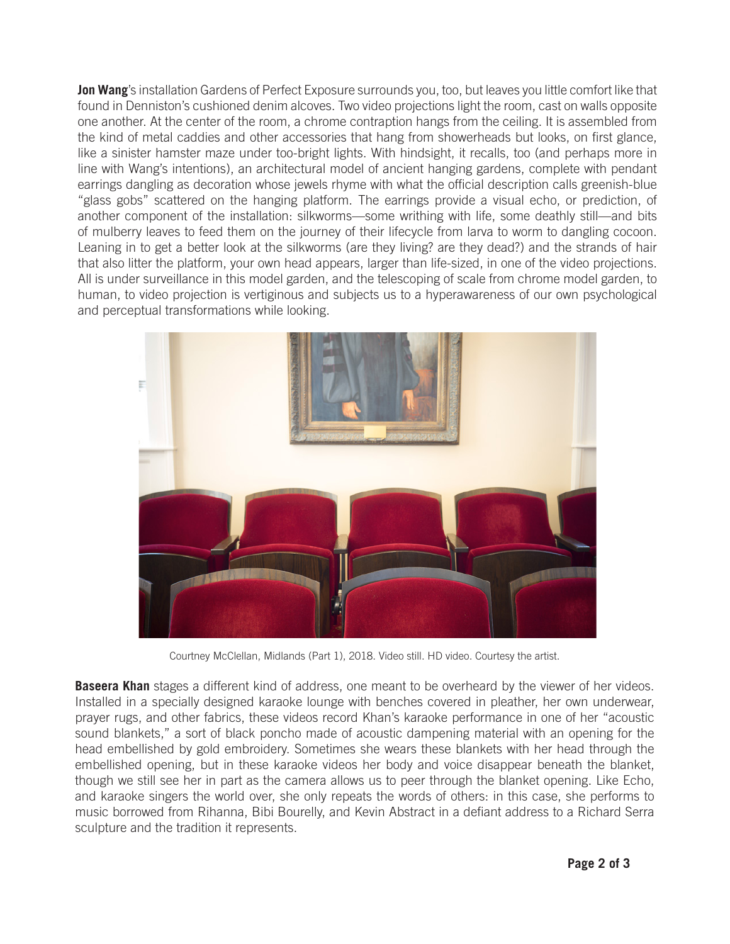**Jon Wang**'s installation Gardens of Perfect Exposure surrounds you, too, but leaves you little comfort like that found in Denniston's cushioned denim alcoves. Two video projections light the room, cast on walls opposite one another. At the center of the room, a chrome contraption hangs from the ceiling. It is assembled from the kind of metal caddies and other accessories that hang from showerheads but looks, on first glance, like a sinister hamster maze under too-bright lights. With hindsight, it recalls, too (and perhaps more in line with Wang's intentions), an architectural model of ancient hanging gardens, complete with pendant earrings dangling as decoration whose jewels rhyme with what the official description calls greenish-blue "glass gobs" scattered on the hanging platform. The earrings provide a visual echo, or prediction, of another component of the installation: silkworms—some writhing with life, some deathly still—and bits of mulberry leaves to feed them on the journey of their lifecycle from larva to worm to dangling cocoon. Leaning in to get a better look at the silkworms (are they living? are they dead?) and the strands of hair that also litter the platform, your own head appears, larger than life-sized, in one of the video projections. All is under surveillance in this model garden, and the telescoping of scale from chrome model garden, to human, to video projection is vertiginous and subjects us to a hyperawareness of our own psychological and perceptual transformations while looking.



Courtney McClellan, Midlands (Part 1), 2018. Video still. HD video. Courtesy the artist.

**Baseera Khan** stages a different kind of address, one meant to be overheard by the viewer of her videos. Installed in a specially designed karaoke lounge with benches covered in pleather, her own underwear, prayer rugs, and other fabrics, these videos record Khan's karaoke performance in one of her "acoustic sound blankets," a sort of black poncho made of acoustic dampening material with an opening for the head embellished by gold embroidery. Sometimes she wears these blankets with her head through the embellished opening, but in these karaoke videos her body and voice disappear beneath the blanket, though we still see her in part as the camera allows us to peer through the blanket opening. Like Echo, and karaoke singers the world over, she only repeats the words of others: in this case, she performs to music borrowed from Rihanna, Bibi Bourelly, and Kevin Abstract in a defiant address to a Richard Serra sculpture and the tradition it represents.